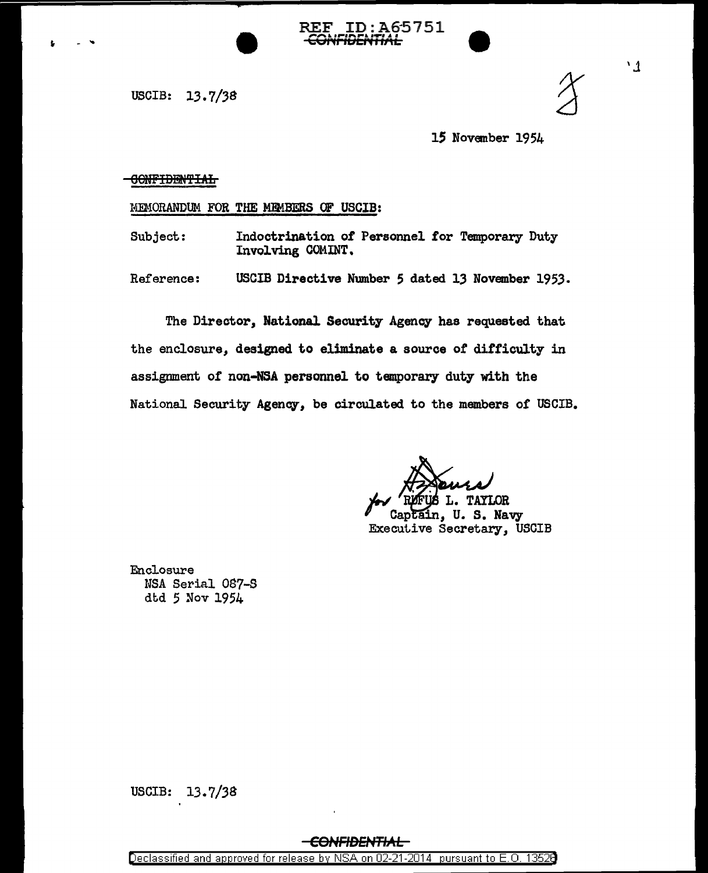USCIB: 13.7/38



 $^{\prime}$   $\Lambda$ 

15 November 1954

CONFIDENTIAL

MEMORANDUM FOR THE MEMBERS OF USCIB:

Indoctrination of Personnel for Temporary Duty Subject: Involving COMINT.

**REF ID:A65751** 

Reference: USCIB Directive Number 5 dated 13 November 1953.

The Director, National Security Agency has requested that the enclosure, designed to eliminate a source of difficulty in assignment of non-NSA personnel to temporary duty with the National Security Agency, be circulated to the members of USCIB.

**TAYLOR** 

U.S. Navy in. Executive Secretary, USCIB

Enclosure NSA Serial 087-S dtd 5 Nov 1954

USCIB:  $13.7/38$ 

## <del>CONFIDENTIAL-</del>

Declassified and approved for release by NSA on 02-21-2014 pursuant to E.O. 13526